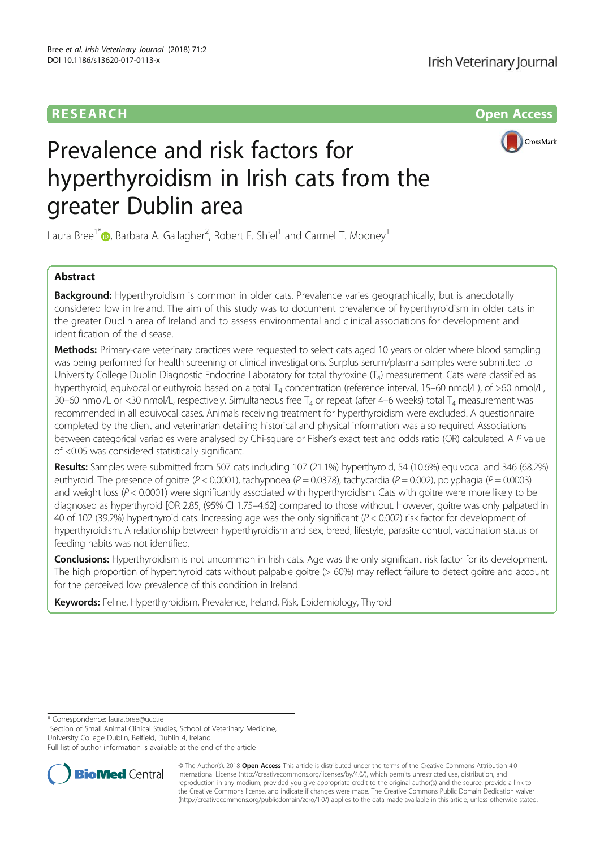# RESEARCH Open Access



# Prevalence and risk factors for hyperthyroidism in Irish cats from the greater Dublin area

Laura Bree<sup>1\*</sup> $\bullet$ , Barbara A. Gallagher<sup>2</sup>, Robert E. Shiel<sup>1</sup> and Carmel T. Mooney<sup>1</sup>

# Abstract

**Background:** Hyperthyroidism is common in older cats. Prevalence varies geographically, but is anecdotally considered low in Ireland. The aim of this study was to document prevalence of hyperthyroidism in older cats in the greater Dublin area of Ireland and to assess environmental and clinical associations for development and identification of the disease.

Methods: Primary-care veterinary practices were requested to select cats aged 10 years or older where blood sampling was being performed for health screening or clinical investigations. Surplus serum/plasma samples were submitted to University College Dublin Diagnostic Endocrine Laboratory for total thyroxine  $(T<sub>A</sub>)$  measurement. Cats were classified as hyperthyroid, equivocal or euthyroid based on a total  $T_4$  concentration (reference interval, 15–60 nmol/L), of >60 nmol/L, 30–60 nmol/L or <30 nmol/L, respectively. Simultaneous free  $T_4$  or repeat (after 4–6 weeks) total  $T_4$  measurement was recommended in all equivocal cases. Animals receiving treatment for hyperthyroidism were excluded. A questionnaire completed by the client and veterinarian detailing historical and physical information was also required. Associations between categorical variables were analysed by Chi-square or Fisher's exact test and odds ratio (OR) calculated. A P value of <0.05 was considered statistically significant.

Results: Samples were submitted from 507 cats including 107 (21.1%) hyperthyroid, 54 (10.6%) equivocal and 346 (68.2%) euthyroid. The presence of goitre (P < 0.0001), tachypnoea (P = 0.0378), tachycardia (P = 0.002), polyphagia (P = 0.0003) and weight loss (P < 0.0001) were significantly associated with hyperthyroidism. Cats with goitre were more likely to be diagnosed as hyperthyroid [OR 2.85, (95% CI 1.75–4.62] compared to those without. However, goitre was only palpated in 40 of 102 (39.2%) hyperthyroid cats. Increasing age was the only significant ( $P < 0.002$ ) risk factor for development of hyperthyroidism. A relationship between hyperthyroidism and sex, breed, lifestyle, parasite control, vaccination status or feeding habits was not identified.

Conclusions: Hyperthyroidism is not uncommon in Irish cats. Age was the only significant risk factor for its development. The high proportion of hyperthyroid cats without palpable goitre (> 60%) may reflect failure to detect goitre and account for the perceived low prevalence of this condition in Ireland.

Keywords: Feline, Hyperthyroidism, Prevalence, Ireland, Risk, Epidemiology, Thyroid

\* Correspondence: laura.bree@ucd.ie <sup>1</sup>

<sup>1</sup>Section of Small Animal Clinical Studies, School of Veterinary Medicine, University College Dublin, Belfield, Dublin 4, Ireland

Full list of author information is available at the end of the article



© The Author(s). 2018 Open Access This article is distributed under the terms of the Creative Commons Attribution 4.0 International License (http://creativecommons.org/licenses/by/4.0/), which permits unrestricted use, distribution, and reproduction in any medium, provided you give appropriate credit to the original author(s) and the source, provide a link to the Creative Commons license, and indicate if changes were made. The Creative Commons Public Domain Dedication waiver (http://creativecommons.org/publicdomain/zero/1.0/) applies to the data made available in this article, unless otherwise stated.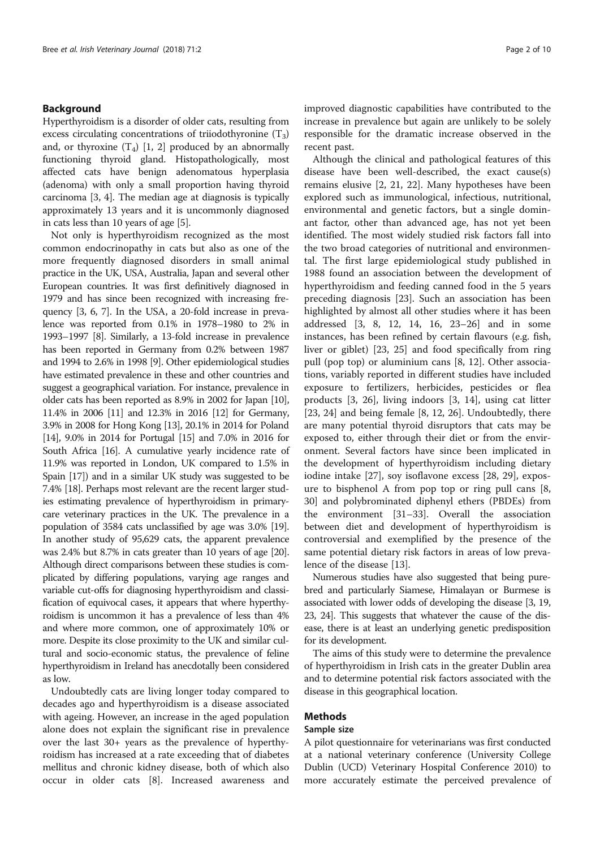# Background

Hyperthyroidism is a disorder of older cats, resulting from excess circulating concentrations of triiodothyronine  $(T_3)$ and, or thyroxine  $(T_4)$  [1, 2] produced by an abnormally functioning thyroid gland. Histopathologically, most affected cats have benign adenomatous hyperplasia (adenoma) with only a small proportion having thyroid carcinoma [3, 4]. The median age at diagnosis is typically approximately 13 years and it is uncommonly diagnosed in cats less than 10 years of age [5].

Not only is hyperthyroidism recognized as the most common endocrinopathy in cats but also as one of the more frequently diagnosed disorders in small animal practice in the UK, USA, Australia, Japan and several other European countries. It was first definitively diagnosed in 1979 and has since been recognized with increasing frequency [3, 6, 7]. In the USA, a 20-fold increase in prevalence was reported from 0.1% in 1978–1980 to 2% in 1993–1997 [8]. Similarly, a 13-fold increase in prevalence has been reported in Germany from 0.2% between 1987 and 1994 to 2.6% in 1998 [9]. Other epidemiological studies have estimated prevalence in these and other countries and suggest a geographical variation. For instance, prevalence in older cats has been reported as 8.9% in 2002 for Japan [10], 11.4% in 2006 [11] and 12.3% in 2016 [12] for Germany, 3.9% in 2008 for Hong Kong [13], 20.1% in 2014 for Poland [14], 9.0% in 2014 for Portugal [15] and 7.0% in 2016 for South Africa [16]. A cumulative yearly incidence rate of 11.9% was reported in London, UK compared to 1.5% in Spain [17]) and in a similar UK study was suggested to be 7.4% [18]. Perhaps most relevant are the recent larger studies estimating prevalence of hyperthyroidism in primarycare veterinary practices in the UK. The prevalence in a population of 3584 cats unclassified by age was 3.0% [19]. In another study of 95,629 cats, the apparent prevalence was 2.4% but 8.7% in cats greater than 10 years of age [20]. Although direct comparisons between these studies is complicated by differing populations, varying age ranges and variable cut-offs for diagnosing hyperthyroidism and classification of equivocal cases, it appears that where hyperthyroidism is uncommon it has a prevalence of less than 4% and where more common, one of approximately 10% or more. Despite its close proximity to the UK and similar cultural and socio-economic status, the prevalence of feline hyperthyroidism in Ireland has anecdotally been considered as low.

Undoubtedly cats are living longer today compared to decades ago and hyperthyroidism is a disease associated with ageing. However, an increase in the aged population alone does not explain the significant rise in prevalence over the last 30+ years as the prevalence of hyperthyroidism has increased at a rate exceeding that of diabetes mellitus and chronic kidney disease, both of which also occur in older cats [8]. Increased awareness and improved diagnostic capabilities have contributed to the increase in prevalence but again are unlikely to be solely responsible for the dramatic increase observed in the recent past.

Although the clinical and pathological features of this disease have been well-described, the exact cause(s) remains elusive [2, 21, 22]. Many hypotheses have been explored such as immunological, infectious, nutritional, environmental and genetic factors, but a single dominant factor, other than advanced age, has not yet been identified. The most widely studied risk factors fall into the two broad categories of nutritional and environmental. The first large epidemiological study published in 1988 found an association between the development of hyperthyroidism and feeding canned food in the 5 years preceding diagnosis [23]. Such an association has been highlighted by almost all other studies where it has been addressed [3, 8, 12, 14, 16, 23–26] and in some instances, has been refined by certain flavours (e.g. fish, liver or giblet) [23, 25] and food specifically from ring pull (pop top) or aluminium cans [8, 12]. Other associations, variably reported in different studies have included exposure to fertilizers, herbicides, pesticides or flea products [3, 26], living indoors [3, 14], using cat litter [23, 24] and being female [8, 12, 26]. Undoubtedly, there are many potential thyroid disruptors that cats may be exposed to, either through their diet or from the environment. Several factors have since been implicated in the development of hyperthyroidism including dietary iodine intake [27], soy isoflavone excess [28, 29], exposure to bisphenol A from pop top or ring pull cans [8, 30] and polybrominated diphenyl ethers (PBDEs) from the environment [31–33]. Overall the association between diet and development of hyperthyroidism is controversial and exemplified by the presence of the same potential dietary risk factors in areas of low prevalence of the disease [13].

Numerous studies have also suggested that being purebred and particularly Siamese, Himalayan or Burmese is associated with lower odds of developing the disease [3, 19, 23, 24]. This suggests that whatever the cause of the disease, there is at least an underlying genetic predisposition for its development.

The aims of this study were to determine the prevalence of hyperthyroidism in Irish cats in the greater Dublin area and to determine potential risk factors associated with the disease in this geographical location.

# Methods

# Sample size

A pilot questionnaire for veterinarians was first conducted at a national veterinary conference (University College Dublin (UCD) Veterinary Hospital Conference 2010) to more accurately estimate the perceived prevalence of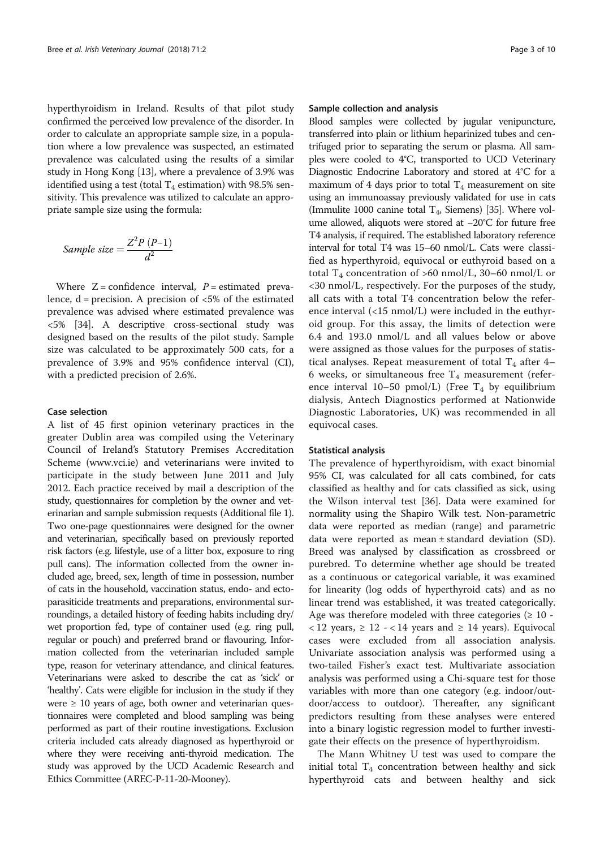hyperthyroidism in Ireland. Results of that pilot study confirmed the perceived low prevalence of the disorder. In order to calculate an appropriate sample size, in a population where a low prevalence was suspected, an estimated prevalence was calculated using the results of a similar study in Hong Kong [13], where a prevalence of 3.9% was identified using a test (total  $T_4$  estimation) with 98.5% sensitivity. This prevalence was utilized to calculate an appropriate sample size using the formula:

Sample size = 
$$
\frac{Z^2 P (P-1)}{d^2}
$$

Where  $Z =$  confidence interval,  $P =$  estimated prevalence,  $d = \text{precision}$ . A precision of  $\lt 5\%$  of the estimated prevalence was advised where estimated prevalence was <5% [34]. A descriptive cross-sectional study was designed based on the results of the pilot study. Sample size was calculated to be approximately 500 cats, for a prevalence of 3.9% and 95% confidence interval (CI), with a predicted precision of 2.6%.

#### Case selection

A list of 45 first opinion veterinary practices in the greater Dublin area was compiled using the Veterinary Council of Ireland's Statutory Premises Accreditation Scheme (www.vci.ie) and veterinarians were invited to participate in the study between June 2011 and July 2012. Each practice received by mail a description of the study, questionnaires for completion by the owner and veterinarian and sample submission requests (Additional file 1). Two one-page questionnaires were designed for the owner and veterinarian, specifically based on previously reported risk factors (e.g. lifestyle, use of a litter box, exposure to ring pull cans). The information collected from the owner included age, breed, sex, length of time in possession, number of cats in the household, vaccination status, endo- and ectoparasiticide treatments and preparations, environmental surroundings, a detailed history of feeding habits including dry/ wet proportion fed, type of container used (e.g. ring pull, regular or pouch) and preferred brand or flavouring. Information collected from the veterinarian included sample type, reason for veterinary attendance, and clinical features. Veterinarians were asked to describe the cat as 'sick' or 'healthy'. Cats were eligible for inclusion in the study if they were  $\geq 10$  years of age, both owner and veterinarian questionnaires were completed and blood sampling was being performed as part of their routine investigations. Exclusion criteria included cats already diagnosed as hyperthyroid or where they were receiving anti-thyroid medication. The study was approved by the UCD Academic Research and Ethics Committee (AREC-P-11-20-Mooney).

#### Sample collection and analysis

Blood samples were collected by jugular venipuncture, transferred into plain or lithium heparinized tubes and centrifuged prior to separating the serum or plasma. All samples were cooled to 4°C, transported to UCD Veterinary Diagnostic Endocrine Laboratory and stored at 4°C for a maximum of 4 days prior to total  $T_4$  measurement on site using an immunoassay previously validated for use in cats (Immulite 1000 canine total  $T_4$ , Siemens) [35]. Where volume allowed, aliquots were stored at −20°C for future free T4 analysis, if required. The established laboratory reference interval for total T4 was 15–60 nmol/L. Cats were classified as hyperthyroid, equivocal or euthyroid based on a total  $T_4$  concentration of >60 nmol/L, 30–60 nmol/L or <30 nmol/L, respectively. For the purposes of the study, all cats with a total T4 concentration below the reference interval (<15 nmol/L) were included in the euthyroid group. For this assay, the limits of detection were 6.4 and 193.0 nmol/L and all values below or above were assigned as those values for the purposes of statistical analyses. Repeat measurement of total  $T_4$  after 4– 6 weeks, or simultaneous free  $T_4$  measurement (reference interval 10–50 pmol/L) (Free  $T_4$  by equilibrium dialysis, Antech Diagnostics performed at Nationwide Diagnostic Laboratories, UK) was recommended in all equivocal cases.

## Statistical analysis

The prevalence of hyperthyroidism, with exact binomial 95% CI, was calculated for all cats combined, for cats classified as healthy and for cats classified as sick, using the Wilson interval test [36]. Data were examined for normality using the Shapiro Wilk test. Non-parametric data were reported as median (range) and parametric data were reported as mean ± standard deviation (SD). Breed was analysed by classification as crossbreed or purebred. To determine whether age should be treated as a continuous or categorical variable, it was examined for linearity (log odds of hyperthyroid cats) and as no linear trend was established, it was treated categorically. Age was therefore modeled with three categories  $(≥ 10 -$ < 12 years, ≥ 12 - < 14 years and ≥ 14 years). Equivocal cases were excluded from all association analysis. Univariate association analysis was performed using a two-tailed Fisher's exact test. Multivariate association analysis was performed using a Chi-square test for those variables with more than one category (e.g. indoor/outdoor/access to outdoor). Thereafter, any significant predictors resulting from these analyses were entered into a binary logistic regression model to further investigate their effects on the presence of hyperthyroidism.

The Mann Whitney U test was used to compare the initial total  $T_4$  concentration between healthy and sick hyperthyroid cats and between healthy and sick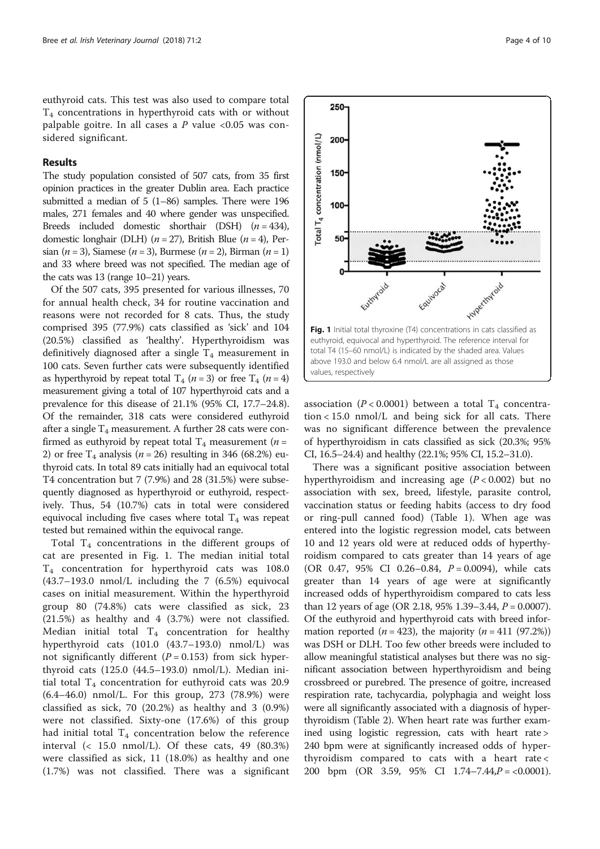euthyroid cats. This test was also used to compare total  $T_4$  concentrations in hyperthyroid cats with or without palpable goitre. In all cases a  $P$  value <0.05 was considered significant.

## Results

The study population consisted of 507 cats, from 35 first opinion practices in the greater Dublin area. Each practice submitted a median of 5 (1–86) samples. There were 196 males, 271 females and 40 where gender was unspecified. Breeds included domestic shorthair (DSH)  $(n = 434)$ , domestic longhair (DLH) ( $n = 27$ ), British Blue ( $n = 4$ ), Persian (*n* = 3), Siamese (*n* = 3), Burmese (*n* = 2), Birman (*n* = 1) and 33 where breed was not specified. The median age of the cats was 13 (range 10–21) years.

Of the 507 cats, 395 presented for various illnesses, 70 for annual health check, 34 for routine vaccination and reasons were not recorded for 8 cats. Thus, the study comprised 395 (77.9%) cats classified as 'sick' and 104 (20.5%) classified as 'healthy'. Hyperthyroidism was definitively diagnosed after a single  $T<sub>4</sub>$  measurement in 100 cats. Seven further cats were subsequently identified as hyperthyroid by repeat total  $T_4$  ( $n = 3$ ) or free  $T_4$  ( $n = 4$ ) measurement giving a total of 107 hyperthyroid cats and a prevalence for this disease of 21.1% (95% CI, 17.7–24.8). Of the remainder, 318 cats were considered euthyroid after a single  $T_4$  measurement. A further 28 cats were confirmed as euthyroid by repeat total  $T_4$  measurement ( $n =$ 2) or free  $T_4$  analysis (*n* = 26) resulting in 346 (68.2%) euthyroid cats. In total 89 cats initially had an equivocal total T4 concentration but 7 (7.9%) and 28 (31.5%) were subsequently diagnosed as hyperthyroid or euthyroid, respectively. Thus, 54 (10.7%) cats in total were considered equivocal including five cases where total  $T_4$  was repeat tested but remained within the equivocal range.

Total  $T_4$  concentrations in the different groups of cat are presented in Fig. 1. The median initial total T4 concentration for hyperthyroid cats was 108.0 (43.7–193.0 nmol/L including the 7 (6.5%) equivocal cases on initial measurement. Within the hyperthyroid group 80 (74.8%) cats were classified as sick, 23 (21.5%) as healthy and 4 (3.7%) were not classified. Median initial total  $T_4$  concentration for healthy hyperthyroid cats (101.0 (43.7–193.0) nmol/L) was not significantly different ( $P = 0.153$ ) from sick hyperthyroid cats (125.0 (44.5–193.0) nmol/L). Median initial total  $T_4$  concentration for euthyroid cats was 20.9 (6.4–46.0) nmol/L. For this group, 273 (78.9%) were classified as sick, 70 (20.2%) as healthy and 3 (0.9%) were not classified. Sixty-one (17.6%) of this group had initial total  $T_4$  concentration below the reference interval (< 15.0 nmol/L). Of these cats, 49 (80.3%) were classified as sick, 11 (18.0%) as healthy and one (1.7%) was not classified. There was a significant



association ( $P < 0.0001$ ) between a total T<sub>4</sub> concentration < 15.0 nmol/L and being sick for all cats. There was no significant difference between the prevalence of hyperthyroidism in cats classified as sick (20.3%; 95% CI, 16.5–24.4) and healthy (22.1%; 95% CI, 15.2–31.0).

There was a significant positive association between hyperthyroidism and increasing age  $(P < 0.002)$  but no association with sex, breed, lifestyle, parasite control, vaccination status or feeding habits (access to dry food or ring-pull canned food) (Table 1). When age was entered into the logistic regression model, cats between 10 and 12 years old were at reduced odds of hyperthyroidism compared to cats greater than 14 years of age (OR 0.47, 95% CI 0.26-0.84,  $P = 0.0094$ ), while cats greater than 14 years of age were at significantly increased odds of hyperthyroidism compared to cats less than 12 years of age (OR 2.18, 95% 1.39–3.44, P = 0.0007). Of the euthyroid and hyperthyroid cats with breed information reported ( $n = 423$ ), the majority ( $n = 411$  (97.2%)) was DSH or DLH. Too few other breeds were included to allow meaningful statistical analyses but there was no significant association between hyperthyroidism and being crossbreed or purebred. The presence of goitre, increased respiration rate, tachycardia, polyphagia and weight loss were all significantly associated with a diagnosis of hyperthyroidism (Table 2). When heart rate was further examined using logistic regression, cats with heart rate > 240 bpm were at significantly increased odds of hyperthyroidism compared to cats with a heart rate < 200 bpm (OR 3.59, 95% CI 1.74-7.44, $P = <0.0001$ ).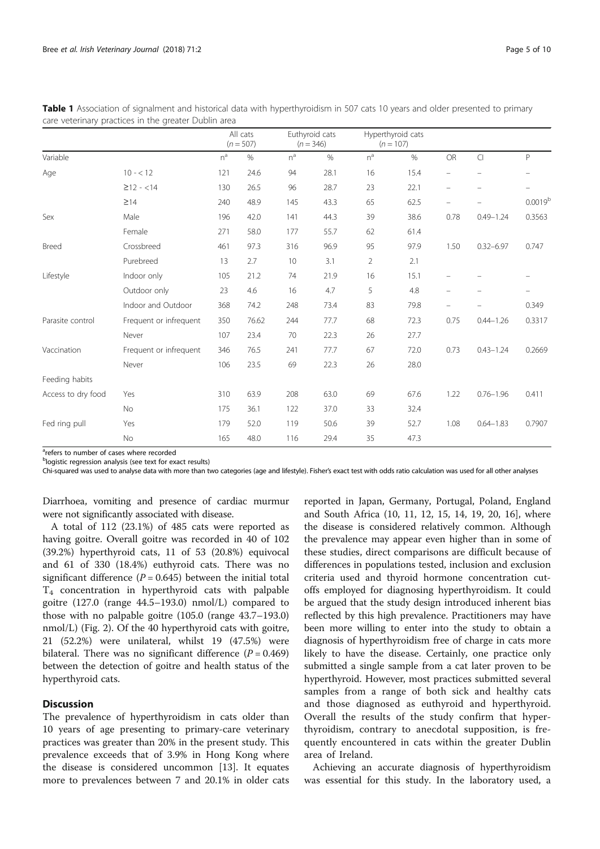|                    |                        | All cats<br>$(n = 507)$ |       | Euthyroid cats<br>$(n = 346)$ |      | Hyperthyroid cats<br>$(n = 107)$ |      |                          |                          |                          |
|--------------------|------------------------|-------------------------|-------|-------------------------------|------|----------------------------------|------|--------------------------|--------------------------|--------------------------|
| Variable           |                        | $n^a$                   | $\%$  | $n^a$                         | $\%$ | $n^a$                            | $\%$ | <b>OR</b>                | $\overline{C}$           | P                        |
| Age                | $10 - 12$              | 121                     | 24.6  | 94                            | 28.1 | 16                               | 15.4 |                          |                          |                          |
|                    | $\geq$ 12 - <14        | 130                     | 26.5  | 96                            | 28.7 | 23                               | 22.1 | $\overline{\phantom{m}}$ | $\overline{\phantom{m}}$ | $\overline{\phantom{0}}$ |
|                    | $\geq$ 14              | 240                     | 48.9  | 145                           | 43.3 | 65                               | 62.5 |                          |                          | $0.0019^{b}$             |
| Sex                | Male                   | 196                     | 42.0  | 141                           | 44.3 | 39                               | 38.6 | 0.78                     | $0.49 - 1.24$            | 0.3563                   |
|                    | Female                 | 271                     | 58.0  | 177                           | 55.7 | 62                               | 61.4 |                          |                          |                          |
| <b>Breed</b>       | Crossbreed             | 461                     | 97.3  | 316                           | 96.9 | 95                               | 97.9 | 1.50                     | $0.32 - 6.97$            | 0.747                    |
|                    | Purebreed              | 13                      | 2.7   | 10                            | 3.1  | $\overline{2}$                   | 2.1  |                          |                          |                          |
| Lifestyle          | Indoor only            | 105                     | 21.2  | 74                            | 21.9 | 16                               | 15.1 |                          |                          |                          |
|                    | Outdoor only           | 23                      | 4.6   | 16                            | 4.7  | 5                                | 4.8  |                          |                          | $\overline{\phantom{0}}$ |
|                    | Indoor and Outdoor     | 368                     | 74.2  | 248                           | 73.4 | 83                               | 79.8 |                          |                          | 0.349                    |
| Parasite control   | Frequent or infrequent | 350                     | 76.62 | 244                           | 77.7 | 68                               | 72.3 | 0.75                     | $0.44 - 1.26$            | 0.3317                   |
|                    | Never                  | 107                     | 23.4  | 70                            | 22.3 | 26                               | 27.7 |                          |                          |                          |
| Vaccination        | Frequent or infrequent | 346                     | 76.5  | 241                           | 77.7 | 67                               | 72.0 | 0.73                     | $0.43 - 1.24$            | 0.2669                   |
|                    | Never                  | 106                     | 23.5  | 69                            | 22.3 | 26                               | 28.0 |                          |                          |                          |
| Feeding habits     |                        |                         |       |                               |      |                                  |      |                          |                          |                          |
| Access to dry food | Yes                    | 310                     | 63.9  | 208                           | 63.0 | 69                               | 67.6 | 1.22                     | $0.76 - 1.96$            | 0.411                    |
|                    | No                     | 175                     | 36.1  | 122                           | 37.0 | 33                               | 32.4 |                          |                          |                          |
| Fed ring pull      | Yes                    | 179                     | 52.0  | 119                           | 50.6 | 39                               | 52.7 | 1.08                     | $0.64 - 1.83$            | 0.7907                   |
|                    | No                     | 165                     | 48.0  | 116                           | 29.4 | 35                               | 47.3 |                          |                          |                          |

Table 1 Association of signalment and historical data with hyperthyroidism in 507 cats 10 years and older presented to primary care veterinary practices in the greater Dublin area

<sup>a</sup>refers to number of cases where recorded

<sup>b</sup>logistic regression analysis (see text for exact results)

Chi-squared was used to analyse data with more than two categories (age and lifestyle). Fisher's exact test with odds ratio calculation was used for all other analyses

Diarrhoea, vomiting and presence of cardiac murmur were not significantly associated with disease.

A total of 112 (23.1%) of 485 cats were reported as having goitre. Overall goitre was recorded in 40 of 102 (39.2%) hyperthyroid cats, 11 of 53 (20.8%) equivocal and 61 of 330 (18.4%) euthyroid cats. There was no significant difference ( $P = 0.645$ ) between the initial total T4 concentration in hyperthyroid cats with palpable goitre (127.0 (range 44.5–193.0) nmol/L) compared to those with no palpable goitre (105.0 (range 43.7–193.0) nmol/L) (Fig. 2). Of the 40 hyperthyroid cats with goitre, 21 (52.2%) were unilateral, whilst 19 (47.5%) were bilateral. There was no significant difference  $(P = 0.469)$ between the detection of goitre and health status of the hyperthyroid cats.

# **Discussion**

The prevalence of hyperthyroidism in cats older than 10 years of age presenting to primary-care veterinary practices was greater than 20% in the present study. This prevalence exceeds that of 3.9% in Hong Kong where the disease is considered uncommon [13]. It equates more to prevalences between 7 and 20.1% in older cats reported in Japan, Germany, Portugal, Poland, England and South Africa (10, 11, 12, 15, 14, 19, 20, 16], where the disease is considered relatively common. Although the prevalence may appear even higher than in some of these studies, direct comparisons are difficult because of differences in populations tested, inclusion and exclusion criteria used and thyroid hormone concentration cutoffs employed for diagnosing hyperthyroidism. It could be argued that the study design introduced inherent bias reflected by this high prevalence. Practitioners may have been more willing to enter into the study to obtain a diagnosis of hyperthyroidism free of charge in cats more likely to have the disease. Certainly, one practice only submitted a single sample from a cat later proven to be hyperthyroid. However, most practices submitted several samples from a range of both sick and healthy cats and those diagnosed as euthyroid and hyperthyroid. Overall the results of the study confirm that hyperthyroidism, contrary to anecdotal supposition, is frequently encountered in cats within the greater Dublin area of Ireland.

Achieving an accurate diagnosis of hyperthyroidism was essential for this study. In the laboratory used, a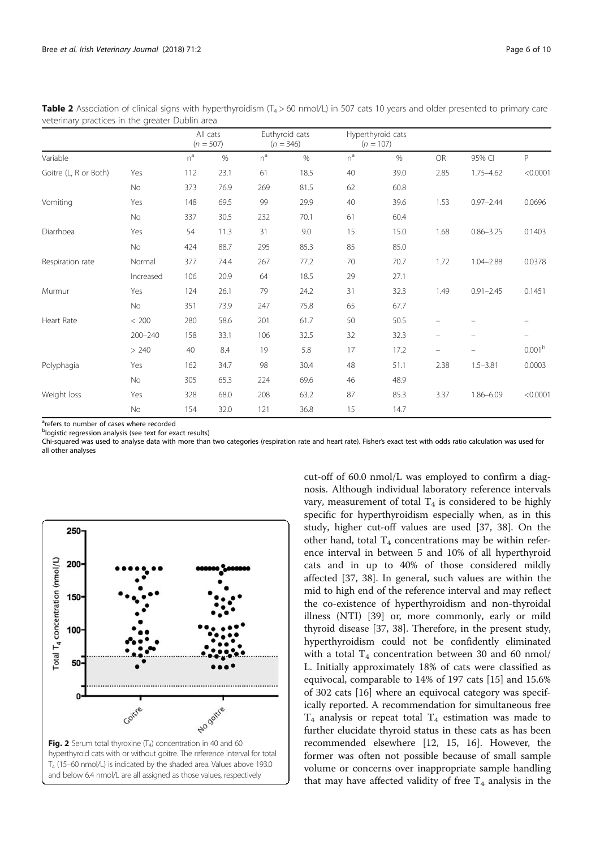|                       |             | All cats<br>$(n = 507)$ |      | Euthyroid cats<br>$(n = 346)$ |      | Hyperthyroid cats<br>$(n = 107)$ |      |                                |               |                          |
|-----------------------|-------------|-------------------------|------|-------------------------------|------|----------------------------------|------|--------------------------------|---------------|--------------------------|
| Variable              |             | $n^a$                   | $\%$ | $n^a$                         | $\%$ | $n^a$                            | $\%$ | OR                             | 95% CI        | P                        |
| Goitre (L, R or Both) | Yes         | 112                     | 23.1 | 61                            | 18.5 | 40                               | 39.0 | 2.85                           | $1.75 - 4.62$ | < 0.0001                 |
|                       | No          | 373                     | 76.9 | 269                           | 81.5 | 62                               | 60.8 |                                |               |                          |
| Vomiting              | Yes         | 148                     | 69.5 | 99                            | 29.9 | 40                               | 39.6 | 1.53                           | $0.97 - 2.44$ | 0.0696                   |
|                       | No          | 337                     | 30.5 | 232                           | 70.1 | 61                               | 60.4 |                                |               |                          |
| Diarrhoea             | Yes         | 54                      | 11.3 | 31                            | 9.0  | 15                               | 15.0 | 1.68                           | $0.86 - 3.25$ | 0.1403                   |
|                       | No          | 424                     | 88.7 | 295                           | 85.3 | 85                               | 85.0 |                                |               |                          |
| Respiration rate      | Normal      | 377                     | 74.4 | 267                           | 77.2 | 70                               | 70.7 | 1.72                           | $1.04 - 2.88$ | 0.0378                   |
|                       | Increased   | 106                     | 20.9 | 64                            | 18.5 | 29                               | 27.1 |                                |               |                          |
| Murmur                | Yes         | 124                     | 26.1 | 79                            | 24.2 | 31                               | 32.3 | 1.49                           | $0.91 - 2.45$ | 0.1451                   |
|                       | No          | 351                     | 73.9 | 247                           | 75.8 | 65                               | 67.7 |                                |               |                          |
| <b>Heart Rate</b>     | < 200       | 280                     | 58.6 | 201                           | 61.7 | 50                               | 50.5 | $\qquad \qquad \longleftarrow$ |               |                          |
|                       | $200 - 240$ | 158                     | 33.1 | 106                           | 32.5 | 32                               | 32.3 | $\overline{\phantom{m}}$       |               | $\overline{\phantom{0}}$ |
|                       | > 240       | 40                      | 8.4  | 19                            | 5.8  | 17                               | 17.2 | -                              |               | 0.001 <sup>b</sup>       |
| Polyphagia            | Yes         | 162                     | 34.7 | 98                            | 30.4 | 48                               | 51.1 | 2.38                           | $1.5 - 3.81$  | 0.0003                   |
|                       | No          | 305                     | 65.3 | 224                           | 69.6 | 46                               | 48.9 |                                |               |                          |
| Weight loss           | Yes         | 328                     | 68.0 | 208                           | 63.2 | 87                               | 85.3 | 3.37                           | 1.86-6.09     | < 0.0001                 |
|                       | No          | 154                     | 32.0 | 121                           | 36.8 | 15                               | 14.7 |                                |               |                          |

Table 2 Association of clinical signs with hyperthyroidism  $(T_4 > 60 \text{ nmol/L})$  in 507 cats 10 years and older presented to primary care veterinary practices in the greater Dublin area

<sup>a</sup>refers to number of cases where recorded

b logistic regression analysis (see text for exact results)

Chi-squared was used to analyse data with more than two categories (respiration rate and heart rate). Fisher's exact test with odds ratio calculation was used for all other analyses



cut-off of 60.0 nmol/L was employed to confirm a diagnosis. Although individual laboratory reference intervals vary, measurement of total  $T_4$  is considered to be highly specific for hyperthyroidism especially when, as in this study, higher cut-off values are used [37, 38]. On the other hand, total  $T_4$  concentrations may be within reference interval in between 5 and 10% of all hyperthyroid cats and in up to 40% of those considered mildly affected [37, 38]. In general, such values are within the mid to high end of the reference interval and may reflect the co-existence of hyperthyroidism and non-thyroidal illness (NTI) [39] or, more commonly, early or mild thyroid disease [37, 38]. Therefore, in the present study, hyperthyroidism could not be confidently eliminated with a total  $T_4$  concentration between 30 and 60 nmol/ L. Initially approximately 18% of cats were classified as equivocal, comparable to 14% of 197 cats [15] and 15.6% of 302 cats [16] where an equivocal category was specifically reported. A recommendation for simultaneous free  $T_4$  analysis or repeat total  $T_4$  estimation was made to further elucidate thyroid status in these cats as has been recommended elsewhere [12, 15, 16]. However, the former was often not possible because of small sample volume or concerns over inappropriate sample handling that may have affected validity of free  $T_4$  analysis in the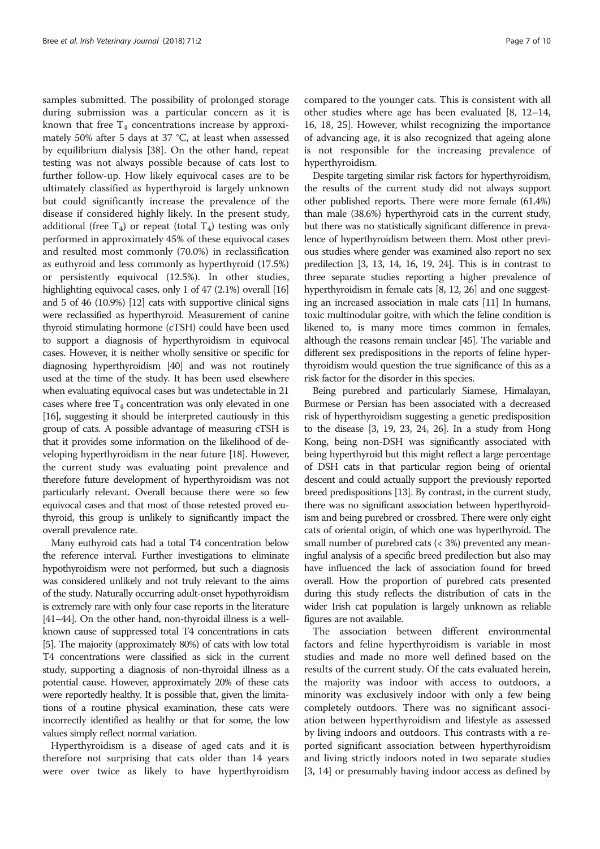samples submitted. The possibility of prolonged storage during submission was a particular concern as it is known that free  $T_4$  concentrations increase by approximately 50% after 5 days at 37 °C, at least when assessed by equilibrium dialysis [38]. On the other hand, repeat testing was not always possible because of cats lost to further follow-up. How likely equivocal cases are to be ultimately classified as hyperthyroid is largely unknown but could significantly increase the prevalence of the disease if considered highly likely. In the present study, additional (free  $T_4$ ) or repeat (total  $T_4$ ) testing was only performed in approximately 45% of these equivocal cases and resulted most commonly (70.0%) in reclassification as euthyroid and less commonly as hyperthyroid (17.5%) or persistently equivocal (12.5%). In other studies, highlighting equivocal cases, only 1 of 47 (2.1%) overall [16] and 5 of 46 (10.9%) [12] cats with supportive clinical signs were reclassified as hyperthyroid. Measurement of canine thyroid stimulating hormone (cTSH) could have been used to support a diagnosis of hyperthyroidism in equivocal cases. However, it is neither wholly sensitive or specific for diagnosing hyperthyroidism [40] and was not routinely used at the time of the study. It has been used elsewhere when evaluating equivocal cases but was undetectable in 21 cases where free  $T_4$  concentration was only elevated in one [16], suggesting it should be interpreted cautiously in this group of cats. A possible advantage of measuring cTSH is that it provides some information on the likelihood of developing hyperthyroidism in the near future [18]. However, the current study was evaluating point prevalence and therefore future development of hyperthyroidism was not particularly relevant. Overall because there were so few equivocal cases and that most of those retested proved euthyroid, this group is unlikely to significantly impact the overall prevalence rate.

Many euthyroid cats had a total T4 concentration below the reference interval. Further investigations to eliminate hypothyroidism were not performed, but such a diagnosis was considered unlikely and not truly relevant to the aims of the study. Naturally occurring adult-onset hypothyroidism is extremely rare with only four case reports in the literature [41–44]. On the other hand, non-thyroidal illness is a wellknown cause of suppressed total T4 concentrations in cats [5]. The majority (approximately 80%) of cats with low total T4 concentrations were classified as sick in the current study, supporting a diagnosis of non-thyroidal illness as a potential cause. However, approximately 20% of these cats were reportedly healthy. It is possible that, given the limitations of a routine physical examination, these cats were incorrectly identified as healthy or that for some, the low values simply reflect normal variation.

Hyperthyroidism is a disease of aged cats and it is therefore not surprising that cats older than 14 years were over twice as likely to have hyperthyroidism compared to the younger cats. This is consistent with all other studies where age has been evaluated [8, 12–14, 16, 18, 25]. However, whilst recognizing the importance of advancing age, it is also recognized that ageing alone is not responsible for the increasing prevalence of hyperthyroidism.

Despite targeting similar risk factors for hyperthyroidism, the results of the current study did not always support other published reports. There were more female (61.4%) than male (38.6%) hyperthyroid cats in the current study, but there was no statistically significant difference in prevalence of hyperthyroidism between them. Most other previous studies where gender was examined also report no sex predilection [3, 13, 14, 16, 19, 24]. This is in contrast to three separate studies reporting a higher prevalence of hyperthyroidism in female cats [8, 12, 26] and one suggesting an increased association in male cats [11] In humans, toxic multinodular goitre, with which the feline condition is likened to, is many more times common in females, although the reasons remain unclear [45]. The variable and different sex predispositions in the reports of feline hyperthyroidism would question the true significance of this as a risk factor for the disorder in this species.

Being purebred and particularly Siamese, Himalayan, Burmese or Persian has been associated with a decreased risk of hyperthyroidism suggesting a genetic predisposition to the disease [3, 19, 23, 24, 26]. In a study from Hong Kong, being non-DSH was significantly associated with being hyperthyroid but this might reflect a large percentage of DSH cats in that particular region being of oriental descent and could actually support the previously reported breed predispositions [13]. By contrast, in the current study, there was no significant association between hyperthyroidism and being purebred or crossbred. There were only eight cats of oriental origin, of which one was hyperthyroid. The small number of purebred cats (< 3%) prevented any meaningful analysis of a specific breed predilection but also may have influenced the lack of association found for breed overall. How the proportion of purebred cats presented during this study reflects the distribution of cats in the wider Irish cat population is largely unknown as reliable figures are not available.

The association between different environmental factors and feline hyperthyroidism is variable in most studies and made no more well defined based on the results of the current study. Of the cats evaluated herein, the majority was indoor with access to outdoors, a minority was exclusively indoor with only a few being completely outdoors. There was no significant association between hyperthyroidism and lifestyle as assessed by living indoors and outdoors. This contrasts with a reported significant association between hyperthyroidism and living strictly indoors noted in two separate studies [3, 14] or presumably having indoor access as defined by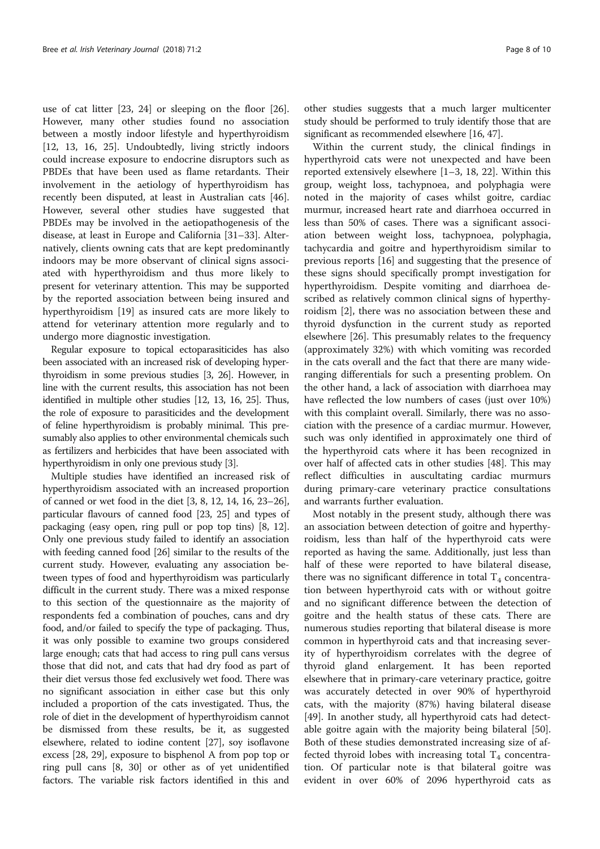use of cat litter [23, 24] or sleeping on the floor [26]. However, many other studies found no association between a mostly indoor lifestyle and hyperthyroidism [12, 13, 16, 25]. Undoubtedly, living strictly indoors could increase exposure to endocrine disruptors such as PBDEs that have been used as flame retardants. Their involvement in the aetiology of hyperthyroidism has recently been disputed, at least in Australian cats [46]. However, several other studies have suggested that PBDEs may be involved in the aetiopathogenesis of the disease, at least in Europe and California [31–33]. Alternatively, clients owning cats that are kept predominantly indoors may be more observant of clinical signs associated with hyperthyroidism and thus more likely to present for veterinary attention. This may be supported by the reported association between being insured and hyperthyroidism [19] as insured cats are more likely to attend for veterinary attention more regularly and to undergo more diagnostic investigation.

Regular exposure to topical ectoparasiticides has also been associated with an increased risk of developing hyperthyroidism in some previous studies [3, 26]. However, in line with the current results, this association has not been identified in multiple other studies [12, 13, 16, 25]. Thus, the role of exposure to parasiticides and the development of feline hyperthyroidism is probably minimal. This presumably also applies to other environmental chemicals such as fertilizers and herbicides that have been associated with hyperthyroidism in only one previous study [3].

Multiple studies have identified an increased risk of hyperthyroidism associated with an increased proportion of canned or wet food in the diet [3, 8, 12, 14, 16, 23–26], particular flavours of canned food [23, 25] and types of packaging (easy open, ring pull or pop top tins) [8, 12]. Only one previous study failed to identify an association with feeding canned food [26] similar to the results of the current study. However, evaluating any association between types of food and hyperthyroidism was particularly difficult in the current study. There was a mixed response to this section of the questionnaire as the majority of respondents fed a combination of pouches, cans and dry food, and/or failed to specify the type of packaging. Thus, it was only possible to examine two groups considered large enough; cats that had access to ring pull cans versus those that did not, and cats that had dry food as part of their diet versus those fed exclusively wet food. There was no significant association in either case but this only included a proportion of the cats investigated. Thus, the role of diet in the development of hyperthyroidism cannot be dismissed from these results, be it, as suggested elsewhere, related to iodine content [27], soy isoflavone excess [28, 29], exposure to bisphenol A from pop top or ring pull cans [8, 30] or other as of yet unidentified factors. The variable risk factors identified in this and

other studies suggests that a much larger multicenter study should be performed to truly identify those that are significant as recommended elsewhere [16, 47].

Within the current study, the clinical findings in hyperthyroid cats were not unexpected and have been reported extensively elsewhere [1–3, 18, 22]. Within this group, weight loss, tachypnoea, and polyphagia were noted in the majority of cases whilst goitre, cardiac murmur, increased heart rate and diarrhoea occurred in less than 50% of cases. There was a significant association between weight loss, tachypnoea, polyphagia, tachycardia and goitre and hyperthyroidism similar to previous reports [16] and suggesting that the presence of these signs should specifically prompt investigation for hyperthyroidism. Despite vomiting and diarrhoea described as relatively common clinical signs of hyperthyroidism [2], there was no association between these and thyroid dysfunction in the current study as reported elsewhere [26]. This presumably relates to the frequency (approximately 32%) with which vomiting was recorded in the cats overall and the fact that there are many wideranging differentials for such a presenting problem. On the other hand, a lack of association with diarrhoea may have reflected the low numbers of cases (just over 10%) with this complaint overall. Similarly, there was no association with the presence of a cardiac murmur. However, such was only identified in approximately one third of the hyperthyroid cats where it has been recognized in over half of affected cats in other studies [48]. This may reflect difficulties in auscultating cardiac murmurs during primary-care veterinary practice consultations and warrants further evaluation.

Most notably in the present study, although there was an association between detection of goitre and hyperthyroidism, less than half of the hyperthyroid cats were reported as having the same. Additionally, just less than half of these were reported to have bilateral disease, there was no significant difference in total  $T_4$  concentration between hyperthyroid cats with or without goitre and no significant difference between the detection of goitre and the health status of these cats. There are numerous studies reporting that bilateral disease is more common in hyperthyroid cats and that increasing severity of hyperthyroidism correlates with the degree of thyroid gland enlargement. It has been reported elsewhere that in primary-care veterinary practice, goitre was accurately detected in over 90% of hyperthyroid cats, with the majority (87%) having bilateral disease [49]. In another study, all hyperthyroid cats had detectable goitre again with the majority being bilateral [50]. Both of these studies demonstrated increasing size of affected thyroid lobes with increasing total  $T_4$  concentration. Of particular note is that bilateral goitre was evident in over 60% of 2096 hyperthyroid cats as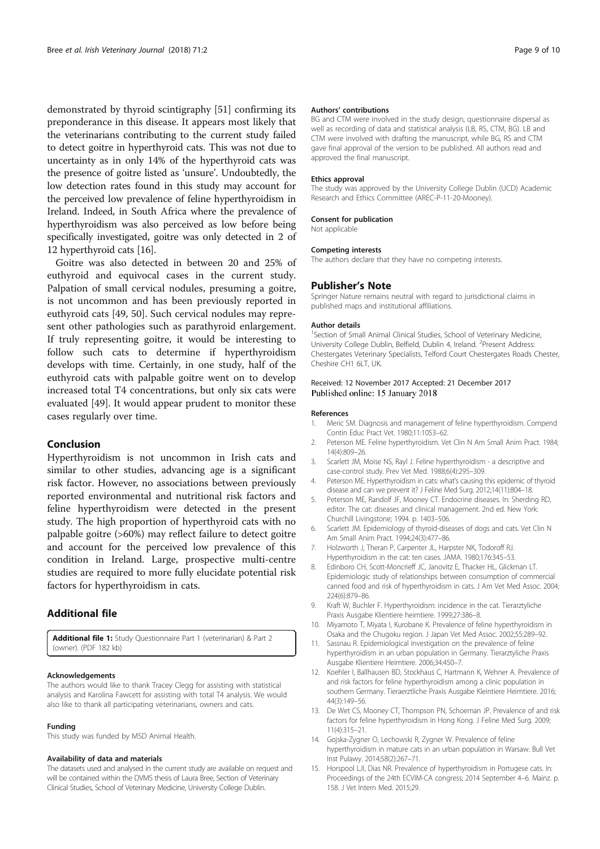demonstrated by thyroid scintigraphy [51] confirming its preponderance in this disease. It appears most likely that the veterinarians contributing to the current study failed to detect goitre in hyperthyroid cats. This was not due to uncertainty as in only 14% of the hyperthyroid cats was the presence of goitre listed as 'unsure'. Undoubtedly, the low detection rates found in this study may account for the perceived low prevalence of feline hyperthyroidism in Ireland. Indeed, in South Africa where the prevalence of hyperthyroidism was also perceived as low before being specifically investigated, goitre was only detected in 2 of 12 hyperthyroid cats [16].

Goitre was also detected in between 20 and 25% of euthyroid and equivocal cases in the current study. Palpation of small cervical nodules, presuming a goitre, is not uncommon and has been previously reported in euthyroid cats [49, 50]. Such cervical nodules may represent other pathologies such as parathyroid enlargement. If truly representing goitre, it would be interesting to follow such cats to determine if hyperthyroidism develops with time. Certainly, in one study, half of the euthyroid cats with palpable goitre went on to develop increased total T4 concentrations, but only six cats were evaluated [49]. It would appear prudent to monitor these cases regularly over time.

# Conclusion

Hyperthyroidism is not uncommon in Irish cats and similar to other studies, advancing age is a significant risk factor. However, no associations between previously reported environmental and nutritional risk factors and feline hyperthyroidism were detected in the present study. The high proportion of hyperthyroid cats with no palpable goitre (>60%) may reflect failure to detect goitre and account for the perceived low prevalence of this condition in Ireland. Large, prospective multi-centre studies are required to more fully elucidate potential risk factors for hyperthyroidism in cats.

# Additional file

Additional file 1: Study Questionnaire Part 1 (veterinarian) & Part 2 (owner). (PDF 182 kb)

#### Acknowledgements

The authors would like to thank Tracey Clegg for assisting with statistical analysis and Karolina Fawcett for assisting with total T4 analysis. We would also like to thank all participating veterinarians, owners and cats.

#### Funding

This study was funded by MSD Animal Health.

#### Availability of data and materials

The datasets used and analysed in the current study are available on request and will be contained within the DVMS thesis of Laura Bree, Section of Veterinary Clinical Studies, School of Veterinary Medicine, University College Dublin.

#### Authors' contributions

BG and CTM were involved in the study design, questionnaire dispersal as well as recording of data and statistical analysis (LB, RS, CTM, BG). LB and CTM were involved with drafting the manuscript, while BG, RS and CTM gave final approval of the version to be published. All authors read and approved the final manuscript.

#### Ethics approval

The study was approved by the University College Dublin (UCD) Academic Research and Ethics Committee (AREC-P-11-20-Mooney).

#### Consent for publication

Not applicable

#### Competing interests

The authors declare that they have no competing interests.

## Publisher's Note

Springer Nature remains neutral with regard to jurisdictional claims in published maps and institutional affiliations.

#### Author details

<sup>1</sup>Section of Small Animal Clinical Studies, School of Veterinary Medicine, University College Dublin, Belfield, Dublin 4, Ireland. <sup>2</sup>Present Address: Chestergates Veterinary Specialists, Telford Court Chestergates Roads Chester, Cheshire CH1 6LT, UK.

## Received: 12 November 2017 Accepted: 21 December 2017 Published online: 15 January 2018

#### References

- 1. Meric SM. Diagnosis and management of feline hyperthyroidism. Compend Contin Educ Pract Vet. 1980;11:1053–62.
- 2. Peterson ME. Feline hyperthyroidism. Vet Clin N Am Small Anim Pract. 1984; 14(4):809–26.
- 3. Scarlett JM, Moise NS, Rayl J. Feline hyperthyroidism a descriptive and case-control study. Prev Vet Med. 1988;6(4):295–309.
- Peterson ME. Hyperthyroidism in cats: what's causing this epidemic of thyroid disease and can we prevent it? J Feline Med Surg. 2012;14(11):804–18.
- 5. Peterson ME, Randolf JF, Mooney CT. Endocrine diseases. In: Sherding RD, editor. The cat: diseases and clinical management. 2nd ed. New York: Churchill Livingstone; 1994. p. 1403–506.
- 6. Scarlett JM. Epidemiology of thyroid-diseases of dogs and cats. Vet Clin N Am Small Anim Pract. 1994;24(3):477–86.
- 7. Holzworth J, Theran P, Carpenter JL, Harpster NK, Todoroff RJ. Hyperthyroidism in the cat: ten cases. JAMA. 1980;176:345–53.
- 8. Edinboro CH, Scott-Moncrieff JC, Janovitz E, Thacker HL, Glickman LT. Epidemiologic study of relationships between consumption of commercial canned food and risk of hyperthyroidism in cats. J Am Vet Med Assoc. 2004; 224(6):879–86.
- 9. Kraft W, Buchler F. Hyperthyroidism: incidence in the cat. Tierarztyliche Praxis Ausgabe Klientiere heimtiere. 1999;27:386–8.
- 10. Miyamoto T, Miyata I, Kurobane K. Prevalence of feline hyperthyroidism in Osaka and the Chugoku region. J Japan Vet Med Assoc. 2002;55:289–92.
- 11. Sassnau R. Epidemiological investigation on the prevalence of feline hyperthyroidism in an urban population in Germany. Tierarztyliche Praxis Ausgabe Klientiere Heimtiere. 2006;34:450–7.
- 12. Koehler I, Ballhausen BD, Stockhaus C, Hartmann K, Wehner A. Prevalence of and risk factors for feline hyperthyroidism among a clinic population in southern Germany. Tieraerztliche Praxis Ausgabe Kleintiere Heimtiere. 2016; 44(3):149–56.
- 13. De Wet CS, Mooney CT, Thompson PN, Schoeman JP. Prevalence of and risk factors for feline hyperthyroidism in Hong Kong. J Feline Med Surg. 2009; 11(4):315–21.
- 14. Gojska-Zygner O, Lechowski R, Zygner W. Prevalence of feline hyperthyroidism in mature cats in an urban population in Warsaw. Bull Vet Inst Pulawy. 2014;58(2):267–71.
- 15. Horspool LJI, Dias NR. Prevalence of hyperthyroidism in Portugese cats. In: Proceedings of the 24th ECVIM-CA congress; 2014 September 4–6. Mainz. p. 158. J Vet Intern Med. 2015;29.